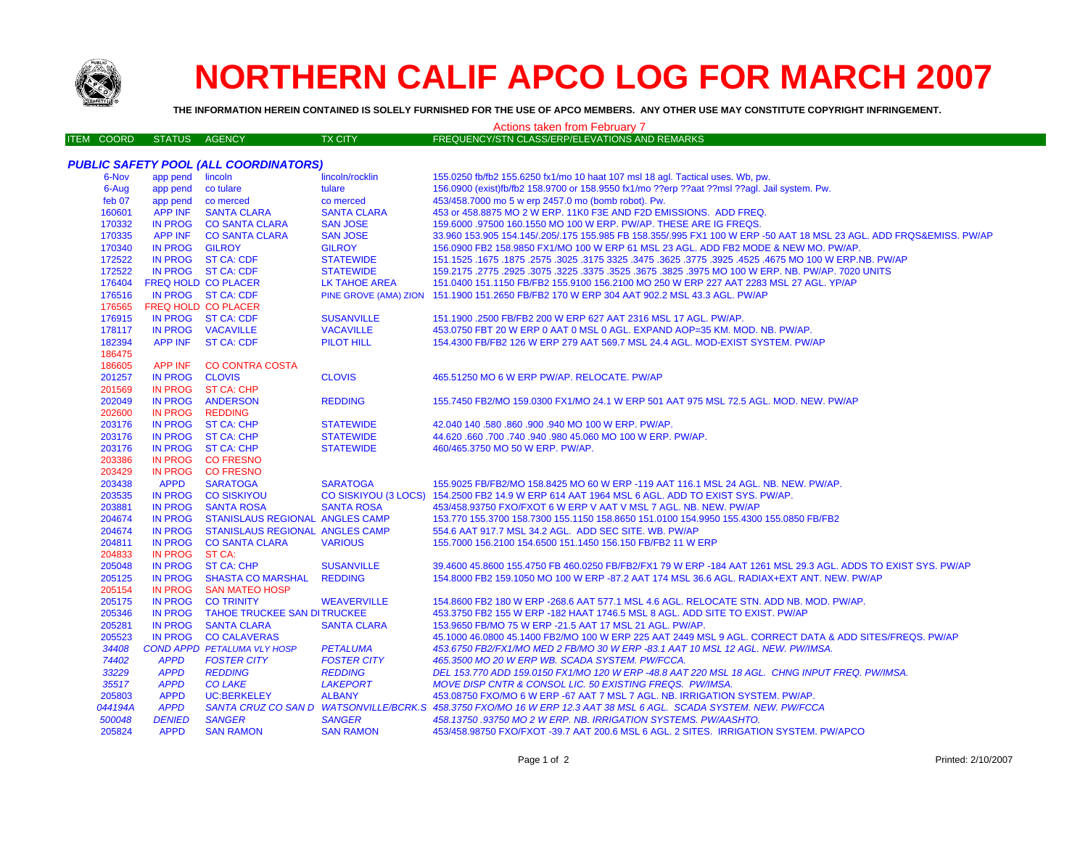

## **NORTHERN CALIF APCO LOG FOR MARCH 2007**

**THE INFORMATION HEREIN CONTAINED IS SOLELY FURNISHED FOR THE USE OF APCO MEMBERS. ANY OTHER USE MAY CONSTITUTE COPYRIGHT INFRINGEMENT.**

## ITEM COORD STATUS AGENCY TX CITY FREQUENCY/STN CLASS/ERP/ELEVATIONS AND REMARKS *PUBLIC SAFETY POOL (ALL COORDINATORS)* 6-Nov app pend lincoln lincoln lincoln/rocklin 155.0250 fb/fb2 155.6250 fx1/mo 10 haat 107 msl 18 agl. Tactical uses. Wb, pw. 6-Aug app pend co tulare tulare 156.0900 (exist)fb/fb2 158.9700 or 158.9550 fx1/mo ??erp ??aat ??msl ??agl. Jail system. Pw. feb 07 app pend co merced co merced 453/458.7000 mo 5 w erp 2457.0 mo (bomb robot). Pw. APP INF SANTA CLARA SANTA CLARA 453 or 458.8875 MO 2 W ERP. 11K0 F3E AND F2D EMISSIONS. ADD FREQ. IN PROG CO SANTA CLARA SAN JOSE 159.6000 .97500 160.1550 MO 100 W ERP. PW/AP. THESE ARE IG FREQS. APP INF CO SANTA CLARA SAN JOSE 33.960 153.905 154.145/.205/.175 155.985 FB 158.355/.995 FX1 100 W ERP -50 AAT 18 MSL 23 AGL. ADD FRQS&EMISS. PW/AP IN PROG GILROY GILROY 156.0900 FB2 158.9850 FX1/MO 100 W ERP 61 MSL 23 AGL. ADD FB2 MODE & NEW MO. PW/AP. IN PROG ST CA: CDF STATEWIDE 151.1525 .1675 .1875 .2575 .3025 .3175 3325 .3475 .3625 .3775 .3925 .4525 .4675 MO 100 W ERP.NB. PW/AP IN PROG ST CA: CDF STATEWIDE 159.2175 .2775 .2925 .3075 .3225 .3375 .3525 .3675 .3825 .3975 MO 100 W ERP. NB. PW/AP. 7020 UNITS FREQ HOLD CO PLACER LK TAHOE AREA 151.0400 151.1150 FB/FB2 155.9100 156.2100 MO 250 W ERP 227 AAT 2283 MSL 27 AGL. YP/AP IN PROG ST CA: CDF PINE GROVE (AMA) ZION 151.1900 151.2650 FB/FB2 170 W ERP 304 AAT 902.2 MSL 43.3 AGL. PW/AP FREQ HOLD CO PLACERIN PROG ST CA: CDF 176915 IN PROG ST CA: CDF SUSANVILLE 151.1900 .2500 FB/FB2 200 W ERP 627 AAT 2316 MSL 17 AGL. PW/AP. IN PROG VACAVILLE VACAVILLE 453.0750 FBT 20 W ERP 0 AAT 0 MSL 0 AGL. EXPAND AOP=35 KM. MOD. NB. PW/AP. APP INF ST CA: CDF PILOT HILL 154.4300 FB/FB2 126 W ERP 279 AAT 569.7 MSL 24.4 AGL. MOD-EXIST SYSTEM. PW/AP APP INF CO CONTRA COSTA IN PROG CLOVIS CLOVIS 465.51250 MO 6 W ERP PW/AP. RELOCATE. PW/AP IN PROG ST CA: CHP IN PROG ANDERSON REDDING 155.7450 FB2/MO 159.0300 FX1/MO 24.1 W ERP 501 AAT 975 MSL 72.5 AGL. MOD. NEW. PW/AP IN PROG REDDING IN PROG ST CA: CHP STATEWIDE 42.040 140 .580 .860 .900 .940 MO 100 W ERP. PW/AP. IN PROG ST CA: CHP STATEWIDE 44.620 .660 .700 .740 .940 .980 45.060 MO 100 W ERP. PW/AP. IN PROG ST CA: CHP STATEWIDE 460/465.3750 MO 50 W ERP. PW/AP. IN PROG CO FRESNO IN PROG CO FRESNO**SARATOGA**  APPD SARATOGA SARATOGA 155.9025 FB/FB2/MO 158.8425 MO 60 W ERP -119 AAT 116.1 MSL 24 AGL. NB. NEW. PW/AP. IN PROG CO SISKIYOU CO SISKIYOU (3 LOCS) 154.2500 FB2 14.9 W ERP 614 AAT 1964 MSL 6 AGL. ADD TO EXIST SYS. PW/AP. IN PROG SANTA ROSA SANTA ROSA 453/458.93750 FXO/FXOT 6 W ERP V AAT V MSL 7 AGL. NB. NEW. PW/AP IN PROG STANISLAUS REGIONAL ANGLES CAMP 153.770 155.3700 158.7300 155.1150 158.8650 151.0100 154.9950 155.4300 155.0850 FB/FB2 IN PROG STANISLAUS REGIONAL ANGLES CAMP 554.6 AAT 917.7 MSL 34.2 AGL. ADD SEC SITE. WB. PW/AP IN PROG CO SANTA CLARA VARIOUS 155.7000 156.2100 154.6500 151.1450 156.150 FB/FB2 11 W ERP IN PROG ST CA: IN PROG ST CA: CHP SUSANVILLE 39.4600 45.8600 155.4750 FB 460.0250 FB/FB2/FX1 79 W ERP -184 AAT 1261 MSL 29.3 AGL. ADDS TO EXIST SYS. PW/AP IN PROG SHASTA CO MARSHAL REDDING 154.8000 FB2 159.1050 MO 100 W ERP -87.2 AAT 174 MSL 36.6 AGL. RADIAX+EXT ANT. NEW. PW/AP IN PROG SAN MATEO HOSP IN PROG CO TRINITY WEAVERVILLE 154.8600 FB2 180 W ERP -268.6 AAT 577.1 MSL 4.6 AGL. RELOCATE STN. ADD NB. MOD. PW/AP. IN PROG TAHOE TRUCKEE SAN DITRUCKEE 453.3750 FB2 155 W ERP -182 HAAT 1746.5 MSL 8 AGL. ADD SITE TO EXIST. PW/AP205281 IN PROG SANTA CLARA SANTA CLARA 153.9650 FB/MO 75 W ERP -21.5 AAT 17 MSL 21 AGL. PW/AP IN PROG CO CALAVERAS 45.1000 46.0800 45.1400 FB2/MO 100 W ERP 225 AAT 2449 MSL 9 AGL. CORRECT DATA & ADD SITES/FREQS. PW/AP *COND APPD PETALUMA VLY HOSP PETALUMA 453.6750 FB2/FX1/MO MED 2 FB/MO 30 W ERP -83.1 AAT 10 MSL 12 AGL. NEW. PW/IMSA. APPD FOSTER CITY FOSTER CITY 465.3500 MO 20 W ERP WB. SCADA SYSTEM. PW/FCCA. APPD REDDING REDDING DEL 153.770 ADD 159.0150 FX1/MO 120 W ERP -48.8 AAT 220 MSL 18 AGL. CHNG INPUT FREQ. PW/IMSA. APPD CO LAKE LAKEPORT MOVE DISP CNTR & CONSOL LIC. 50 EXISTING FREQS. PW/IMSA.* APPD UC:BERKELEY ALBANY 453.08750 FXO/MO 6 W ERP -67 AAT 7 MSL 7 AGL. NB. IRRIGATION SYSTEM. PW/AP.*044194A APPD SANTA CRUZ CO SAN D WATSONVILLE/BCRK.S 458.3750 FXO/MO 16 W ERP 12.3 AAT 38 MSL 6 AGL. SCADA SYSTEM. NEW. PW/FCCA DENIED SANGER SANGER 458.13750 .93750 MO 2 W ERP. NB. IRRIGATION SYSTEMS. PW/AASHTO.* APPD SAN RAMON SAN RAMON 453/458.98750 FXO/FXOT -39.7 AAT 200.6 MSL 6 AGL. 2 SITES. IRRIGATION SYSTEM. PW/APCO Actions taken from February 7